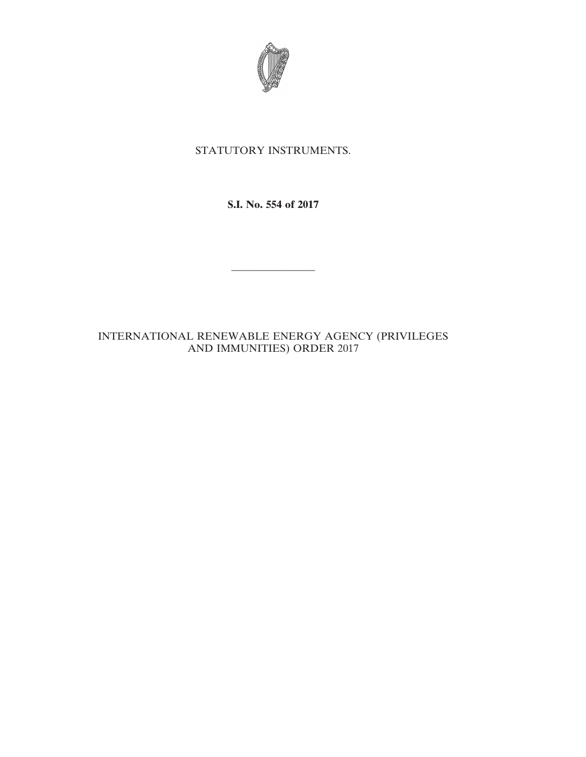

# STATUTORY INSTRUMENTS.

**S.I. No. 554 of 2017**

————————

# INTERNATIONAL RENEWABLE ENERGY AGENCY (PRIVILEGES AND IMMUNITIES) ORDER 2017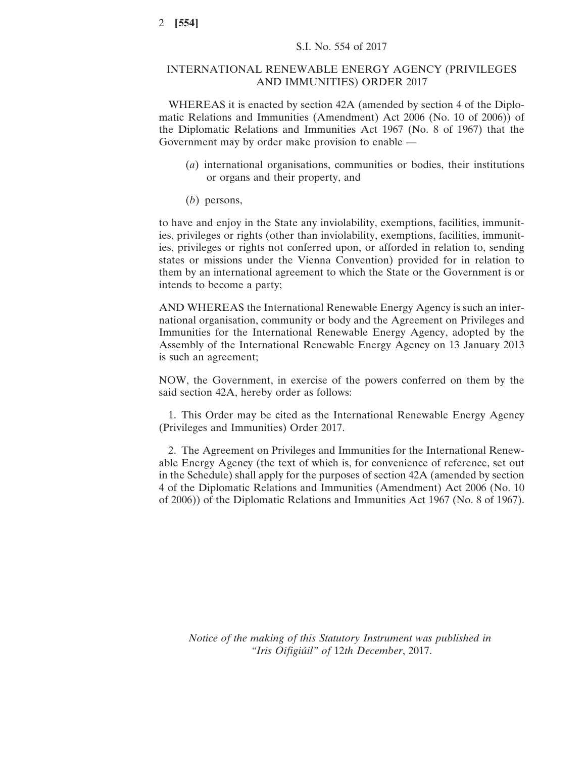### INTERNATIONAL RENEWABLE ENERGY AGENCY (PRIVILEGES AND IMMUNITIES) ORDER 2017

WHEREAS it is enacted by section 42A (amended by section 4 of the Diplomatic Relations and Immunities (Amendment) Act 2006 (No. 10 of 2006)) of the Diplomatic Relations and Immunities Act 1967 (No. 8 of 1967) that the Government may by order make provision to enable —

- (*a*) international organisations, communities or bodies, their institutions or organs and their property, and
- (*b*) persons,

to have and enjoy in the State any inviolability, exemptions, facilities, immunities, privileges or rights (other than inviolability, exemptions, facilities, immunities, privileges or rights not conferred upon, or afforded in relation to, sending states or missions under the Vienna Convention) provided for in relation to them by an international agreement to which the State or the Government is or intends to become a party;

AND WHEREAS the International Renewable Energy Agency is such an international organisation, community or body and the Agreement on Privileges and Immunities for the International Renewable Energy Agency, adopted by the Assembly of the International Renewable Energy Agency on 13 January 2013 is such an agreement;

NOW, the Government, in exercise of the powers conferred on them by the said section 42A, hereby order as follows:

1. This Order may be cited as the International Renewable Energy Agency (Privileges and Immunities) Order 2017.

2. The Agreement on Privileges and Immunities for the International Renewable Energy Agency (the text of which is, for convenience of reference, set out in the Schedule) shall apply for the purposes of section 42A (amended by section 4 of the Diplomatic Relations and Immunities (Amendment) Act 2006 (No. 10 of 2006)) of the Diplomatic Relations and Immunities Act 1967 (No. 8 of 1967).

*Notice of the making of this Statutory Instrument was published in "Iris Oifigiúil" of* 12*th December*, 2017.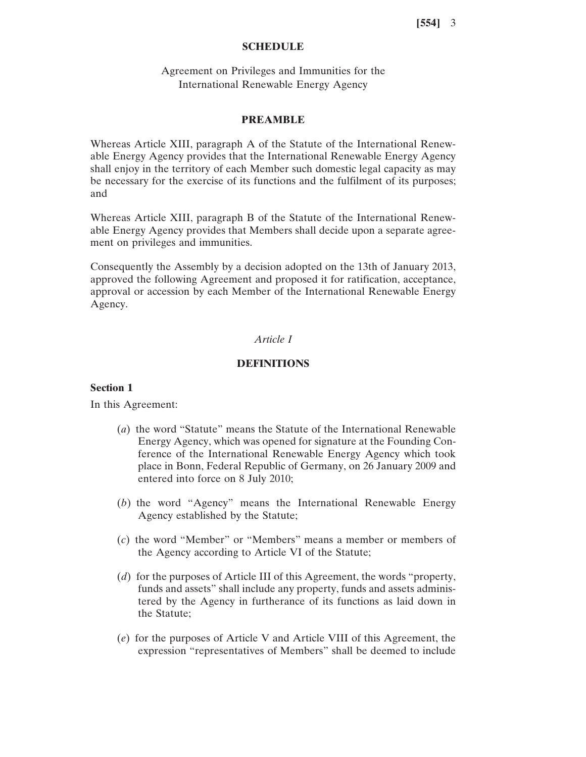## **SCHEDULE**

## Agreement on Privileges and Immunities for the International Renewable Energy Agency

#### **PREAMBLE**

Whereas Article XIII, paragraph A of the Statute of the International Renewable Energy Agency provides that the International Renewable Energy Agency shall enjoy in the territory of each Member such domestic legal capacity as may be necessary for the exercise of its functions and the fulfilment of its purposes; and

Whereas Article XIII, paragraph B of the Statute of the International Renewable Energy Agency provides that Members shall decide upon a separate agreement on privileges and immunities.

Consequently the Assembly by a decision adopted on the 13th of January 2013, approved the following Agreement and proposed it for ratification, acceptance, approval or accession by each Member of the International Renewable Energy Agency.

## *Article I*

## **DEFINITIONS**

#### **Section 1**

In this Agreement:

- (*a*) the word "Statute" means the Statute of the International Renewable Energy Agency, which was opened for signature at the Founding Conference of the International Renewable Energy Agency which took place in Bonn, Federal Republic of Germany, on 26 January 2009 and entered into force on 8 July 2010;
- (*b*) the word "Agency" means the International Renewable Energy Agency established by the Statute;
- (*c*) the word "Member" or "Members" means a member or members of the Agency according to Article VI of the Statute;
- (*d*) for the purposes of Article III of this Agreement, the words "property, funds and assets" shall include any property, funds and assets administered by the Agency in furtherance of its functions as laid down in the Statute;
- (*e*) for the purposes of Article V and Article VIII of this Agreement, the expression "representatives of Members" shall be deemed to include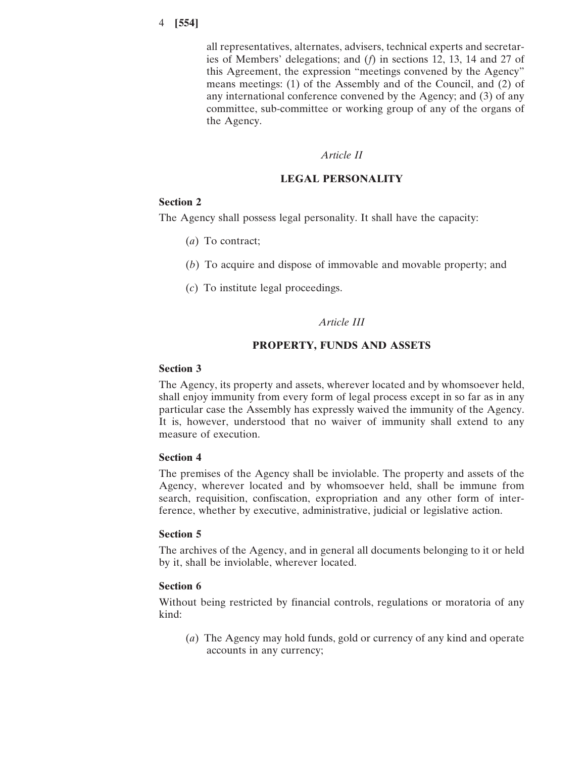all representatives, alternates, advisers, technical experts and secretaries of Members' delegations; and (*f*) in sections 12, 13, 14 and 27 of this Agreement, the expression "meetings convened by the Agency" means meetings: (1) of the Assembly and of the Council, and (2) of any international conference convened by the Agency; and (3) of any committee, sub-committee or working group of any of the organs of the Agency.

### *Article II*

## **LEGAL PERSONALITY**

### **Section 2**

The Agency shall possess legal personality. It shall have the capacity:

- (*a*) To contract;
- (*b*) To acquire and dispose of immovable and movable property; and
- (*c*) To institute legal proceedings.

## *Article III*

### **PROPERTY, FUNDS AND ASSETS**

### **Section 3**

The Agency, its property and assets, wherever located and by whomsoever held, shall enjoy immunity from every form of legal process except in so far as in any particular case the Assembly has expressly waived the immunity of the Agency. It is, however, understood that no waiver of immunity shall extend to any measure of execution.

### **Section 4**

The premises of the Agency shall be inviolable. The property and assets of the Agency, wherever located and by whomsoever held, shall be immune from search, requisition, confiscation, expropriation and any other form of interference, whether by executive, administrative, judicial or legislative action.

## **Section 5**

The archives of the Agency, and in general all documents belonging to it or held by it, shall be inviolable, wherever located.

### **Section 6**

Without being restricted by financial controls, regulations or moratoria of any kind:

(*a*) The Agency may hold funds, gold or currency of any kind and operate accounts in any currency;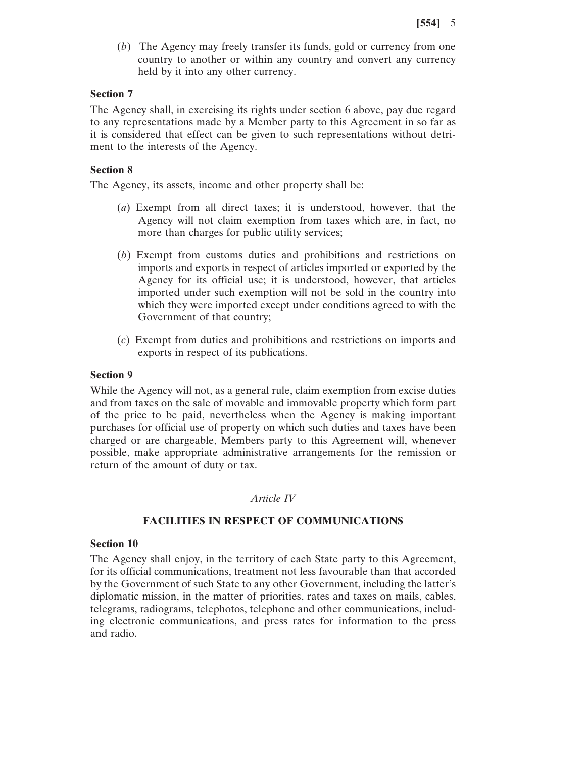(*b*) The Agency may freely transfer its funds, gold or currency from one country to another or within any country and convert any currency held by it into any other currency.

## **Section 7**

The Agency shall, in exercising its rights under section 6 above, pay due regard to any representations made by a Member party to this Agreement in so far as it is considered that effect can be given to such representations without detriment to the interests of the Agency.

## **Section 8**

The Agency, its assets, income and other property shall be:

- (*a*) Exempt from all direct taxes; it is understood, however, that the Agency will not claim exemption from taxes which are, in fact, no more than charges for public utility services;
- (*b*) Exempt from customs duties and prohibitions and restrictions on imports and exports in respect of articles imported or exported by the Agency for its official use; it is understood, however, that articles imported under such exemption will not be sold in the country into which they were imported except under conditions agreed to with the Government of that country;
- (*c*) Exempt from duties and prohibitions and restrictions on imports and exports in respect of its publications.

### **Section 9**

While the Agency will not, as a general rule, claim exemption from excise duties and from taxes on the sale of movable and immovable property which form part of the price to be paid, nevertheless when the Agency is making important purchases for official use of property on which such duties and taxes have been charged or are chargeable, Members party to this Agreement will, whenever possible, make appropriate administrative arrangements for the remission or return of the amount of duty or tax.

### *Article IV*

## **FACILITIES IN RESPECT OF COMMUNICATIONS**

### **Section 10**

The Agency shall enjoy, in the territory of each State party to this Agreement, for its official communications, treatment not less favourable than that accorded by the Government of such State to any other Government, including the latter's diplomatic mission, in the matter of priorities, rates and taxes on mails, cables, telegrams, radiograms, telephotos, telephone and other communications, including electronic communications, and press rates for information to the press and radio.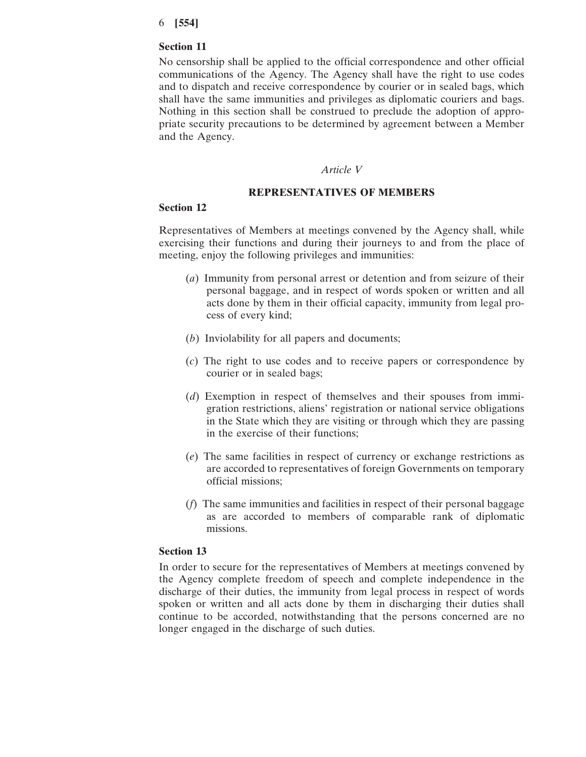### **Section 11**

No censorship shall be applied to the official correspondence and other official communications of the Agency. The Agency shall have the right to use codes and to dispatch and receive correspondence by courier or in sealed bags, which shall have the same immunities and privileges as diplomatic couriers and bags. Nothing in this section shall be construed to preclude the adoption of appropriate security precautions to be determined by agreement between a Member and the Agency.

#### *Article V*

#### **REPRESENTATIVES OF MEMBERS**

#### **Section 12**

Representatives of Members at meetings convened by the Agency shall, while exercising their functions and during their journeys to and from the place of meeting, enjoy the following privileges and immunities:

- (*a*) Immunity from personal arrest or detention and from seizure of their personal baggage, and in respect of words spoken or written and all acts done by them in their official capacity, immunity from legal process of every kind;
- (*b*) Inviolability for all papers and documents;
- (*c*) The right to use codes and to receive papers or correspondence by courier or in sealed bags;
- (*d*) Exemption in respect of themselves and their spouses from immigration restrictions, aliens' registration or national service obligations in the State which they are visiting or through which they are passing in the exercise of their functions;
- (*e*) The same facilities in respect of currency or exchange restrictions as are accorded to representatives of foreign Governments on temporary official missions;
- (*f*) The same immunities and facilities in respect of their personal baggage as are accorded to members of comparable rank of diplomatic missions.

## **Section 13**

In order to secure for the representatives of Members at meetings convened by the Agency complete freedom of speech and complete independence in the discharge of their duties, the immunity from legal process in respect of words spoken or written and all acts done by them in discharging their duties shall continue to be accorded, notwithstanding that the persons concerned are no longer engaged in the discharge of such duties.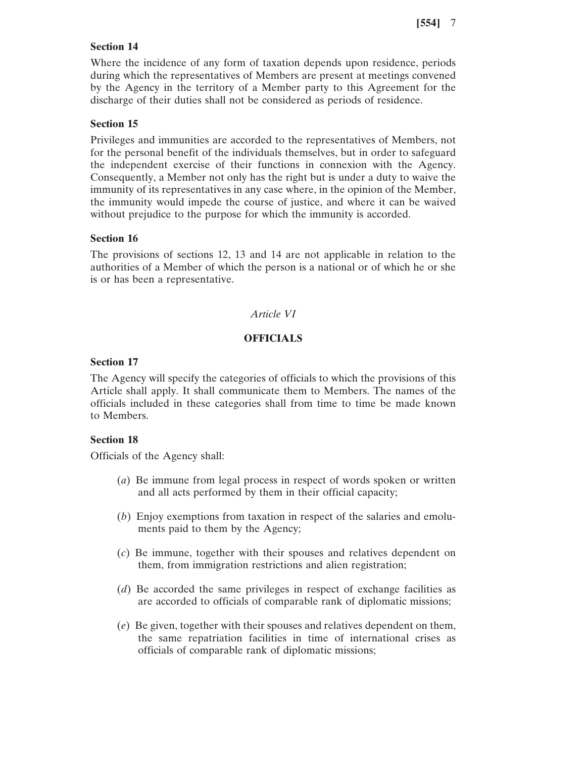## **Section 14**

Where the incidence of any form of taxation depends upon residence, periods during which the representatives of Members are present at meetings convened by the Agency in the territory of a Member party to this Agreement for the discharge of their duties shall not be considered as periods of residence.

### **Section 15**

Privileges and immunities are accorded to the representatives of Members, not for the personal benefit of the individuals themselves, but in order to safeguard the independent exercise of their functions in connexion with the Agency. Consequently, a Member not only has the right but is under a duty to waive the immunity of its representatives in any case where, in the opinion of the Member, the immunity would impede the course of justice, and where it can be waived without prejudice to the purpose for which the immunity is accorded.

### **Section 16**

The provisions of sections 12, 13 and 14 are not applicable in relation to the authorities of a Member of which the person is a national or of which he or she is or has been a representative.

#### *Article VI*

### **OFFICIALS**

## **Section 17**

The Agency will specify the categories of officials to which the provisions of this Article shall apply. It shall communicate them to Members. The names of the officials included in these categories shall from time to time be made known to Members.

### **Section 18**

Officials of the Agency shall:

- (*a*) Be immune from legal process in respect of words spoken or written and all acts performed by them in their official capacity;
- (*b*) Enjoy exemptions from taxation in respect of the salaries and emoluments paid to them by the Agency;
- (*c*) Be immune, together with their spouses and relatives dependent on them, from immigration restrictions and alien registration;
- (*d*) Be accorded the same privileges in respect of exchange facilities as are accorded to officials of comparable rank of diplomatic missions;
- (*e*) Be given, together with their spouses and relatives dependent on them, the same repatriation facilities in time of international crises as officials of comparable rank of diplomatic missions;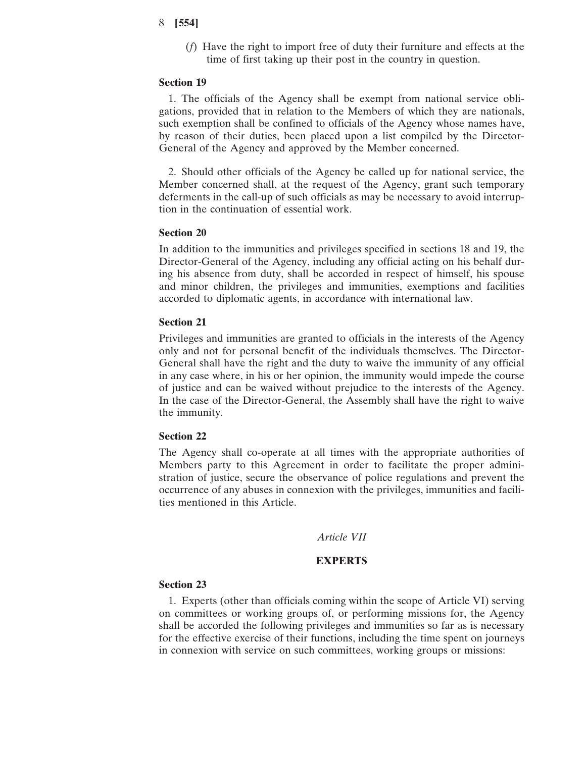(*f*) Have the right to import free of duty their furniture and effects at the time of first taking up their post in the country in question.

#### **Section 19**

1. The officials of the Agency shall be exempt from national service obligations, provided that in relation to the Members of which they are nationals, such exemption shall be confined to officials of the Agency whose names have, by reason of their duties, been placed upon a list compiled by the Director-General of the Agency and approved by the Member concerned.

2. Should other officials of the Agency be called up for national service, the Member concerned shall, at the request of the Agency, grant such temporary deferments in the call-up of such officials as may be necessary to avoid interruption in the continuation of essential work.

## **Section 20**

In addition to the immunities and privileges specified in sections 18 and 19, the Director-General of the Agency, including any official acting on his behalf during his absence from duty, shall be accorded in respect of himself, his spouse and minor children, the privileges and immunities, exemptions and facilities accorded to diplomatic agents, in accordance with international law.

#### **Section 21**

Privileges and immunities are granted to officials in the interests of the Agency only and not for personal benefit of the individuals themselves. The Director-General shall have the right and the duty to waive the immunity of any official in any case where, in his or her opinion, the immunity would impede the course of justice and can be waived without prejudice to the interests of the Agency. In the case of the Director-General, the Assembly shall have the right to waive the immunity.

#### **Section 22**

The Agency shall co-operate at all times with the appropriate authorities of Members party to this Agreement in order to facilitate the proper administration of justice, secure the observance of police regulations and prevent the occurrence of any abuses in connexion with the privileges, immunities and facilities mentioned in this Article.

### *Article VII*

### **EXPERTS**

#### **Section 23**

1. Experts (other than officials coming within the scope of Article VI) serving on committees or working groups of, or performing missions for, the Agency shall be accorded the following privileges and immunities so far as is necessary for the effective exercise of their functions, including the time spent on journeys in connexion with service on such committees, working groups or missions: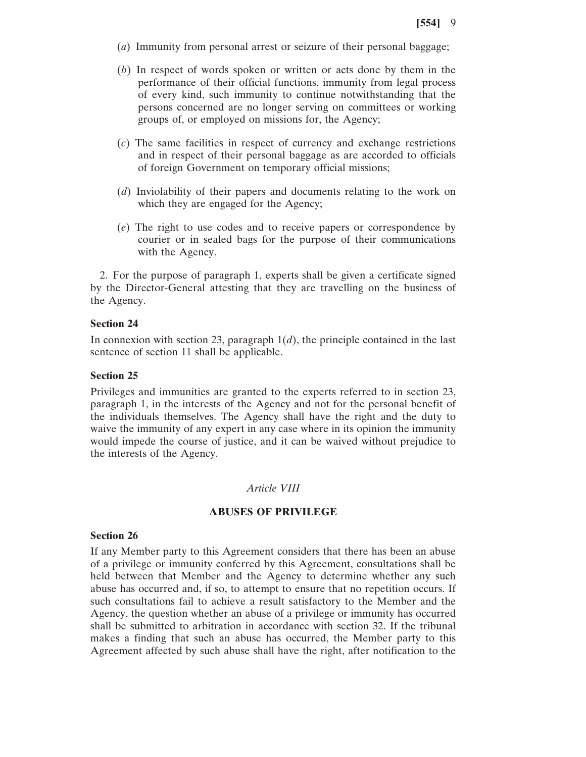- (*a*) Immunity from personal arrest or seizure of their personal baggage;
- (*b*) In respect of words spoken or written or acts done by them in the performance of their official functions, immunity from legal process of every kind, such immunity to continue notwithstanding that the persons concerned are no longer serving on committees or working groups of, or employed on missions for, the Agency;
- (*c*) The same facilities in respect of currency and exchange restrictions and in respect of their personal baggage as are accorded to officials of foreign Government on temporary official missions;
- (*d*) Inviolability of their papers and documents relating to the work on which they are engaged for the Agency;
- (*e*) The right to use codes and to receive papers or correspondence by courier or in sealed bags for the purpose of their communications with the Agency.

2. For the purpose of paragraph 1, experts shall be given a certificate signed by the Director-General attesting that they are travelling on the business of the Agency.

## **Section 24**

In connexion with section 23, paragraph  $1(d)$ , the principle contained in the last sentence of section 11 shall be applicable.

## **Section 25**

Privileges and immunities are granted to the experts referred to in section 23, paragraph 1, in the interests of the Agency and not for the personal benefit of the individuals themselves. The Agency shall have the right and the duty to waive the immunity of any expert in any case where in its opinion the immunity would impede the course of justice, and it can be waived without prejudice to the interests of the Agency.

## *Article VIII*

### **ABUSES OF PRIVILEGE**

## **Section 26**

If any Member party to this Agreement considers that there has been an abuse of a privilege or immunity conferred by this Agreement, consultations shall be held between that Member and the Agency to determine whether any such abuse has occurred and, if so, to attempt to ensure that no repetition occurs. If such consultations fail to achieve a result satisfactory to the Member and the Agency, the question whether an abuse of a privilege or immunity has occurred shall be submitted to arbitration in accordance with section 32. If the tribunal makes a finding that such an abuse has occurred, the Member party to this Agreement affected by such abuse shall have the right, after notification to the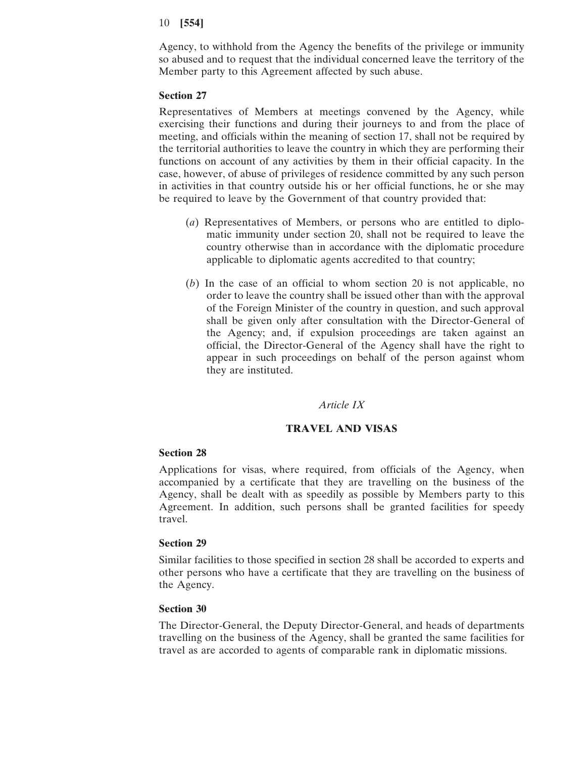Agency, to withhold from the Agency the benefits of the privilege or immunity so abused and to request that the individual concerned leave the territory of the Member party to this Agreement affected by such abuse.

### **Section 27**

Representatives of Members at meetings convened by the Agency, while exercising their functions and during their journeys to and from the place of meeting, and officials within the meaning of section 17, shall not be required by the territorial authorities to leave the country in which they are performing their functions on account of any activities by them in their official capacity. In the case, however, of abuse of privileges of residence committed by any such person in activities in that country outside his or her official functions, he or she may be required to leave by the Government of that country provided that:

- (*a*) Representatives of Members, or persons who are entitled to diplomatic immunity under section 20, shall not be required to leave the country otherwise than in accordance with the diplomatic procedure applicable to diplomatic agents accredited to that country;
- (*b*) In the case of an official to whom section 20 is not applicable, no order to leave the country shall be issued other than with the approval of the Foreign Minister of the country in question, and such approval shall be given only after consultation with the Director-General of the Agency; and, if expulsion proceedings are taken against an official, the Director-General of the Agency shall have the right to appear in such proceedings on behalf of the person against whom they are instituted.

## *Article IX*

### **TRAVEL AND VISAS**

#### **Section 28**

Applications for visas, where required, from officials of the Agency, when accompanied by a certificate that they are travelling on the business of the Agency, shall be dealt with as speedily as possible by Members party to this Agreement. In addition, such persons shall be granted facilities for speedy travel.

#### **Section 29**

Similar facilities to those specified in section 28 shall be accorded to experts and other persons who have a certificate that they are travelling on the business of the Agency.

#### **Section 30**

The Director-General, the Deputy Director-General, and heads of departments travelling on the business of the Agency, shall be granted the same facilities for travel as are accorded to agents of comparable rank in diplomatic missions.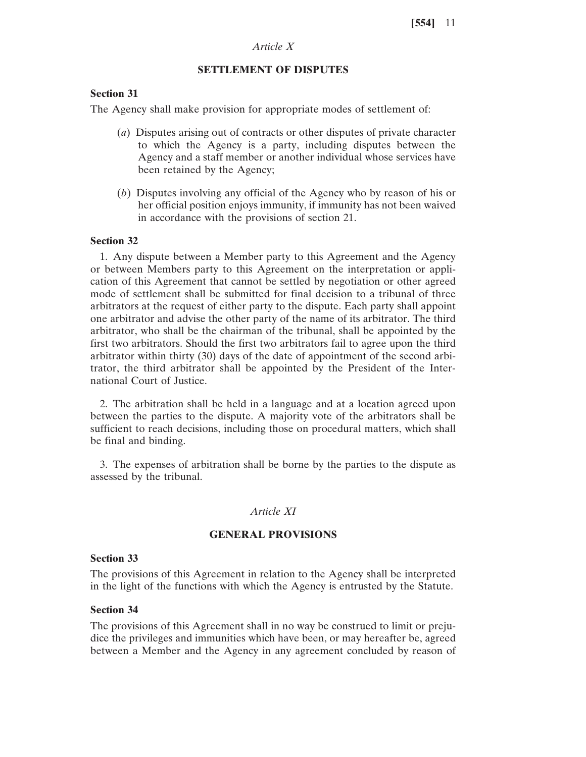## *Article X*

## **SETTLEMENT OF DISPUTES**

### **Section 31**

The Agency shall make provision for appropriate modes of settlement of:

- (*a*) Disputes arising out of contracts or other disputes of private character to which the Agency is a party, including disputes between the Agency and a staff member or another individual whose services have been retained by the Agency;
- (*b*) Disputes involving any official of the Agency who by reason of his or her official position enjoys immunity, if immunity has not been waived in accordance with the provisions of section 21.

#### **Section 32**

1. Any dispute between a Member party to this Agreement and the Agency or between Members party to this Agreement on the interpretation or application of this Agreement that cannot be settled by negotiation or other agreed mode of settlement shall be submitted for final decision to a tribunal of three arbitrators at the request of either party to the dispute. Each party shall appoint one arbitrator and advise the other party of the name of its arbitrator. The third arbitrator, who shall be the chairman of the tribunal, shall be appointed by the first two arbitrators. Should the first two arbitrators fail to agree upon the third arbitrator within thirty (30) days of the date of appointment of the second arbitrator, the third arbitrator shall be appointed by the President of the International Court of Justice.

2. The arbitration shall be held in a language and at a location agreed upon between the parties to the dispute. A majority vote of the arbitrators shall be sufficient to reach decisions, including those on procedural matters, which shall be final and binding.

3. The expenses of arbitration shall be borne by the parties to the dispute as assessed by the tribunal.

### *Article XI*

#### **GENERAL PROVISIONS**

### **Section 33**

The provisions of this Agreement in relation to the Agency shall be interpreted in the light of the functions with which the Agency is entrusted by the Statute.

### **Section 34**

The provisions of this Agreement shall in no way be construed to limit or prejudice the privileges and immunities which have been, or may hereafter be, agreed between a Member and the Agency in any agreement concluded by reason of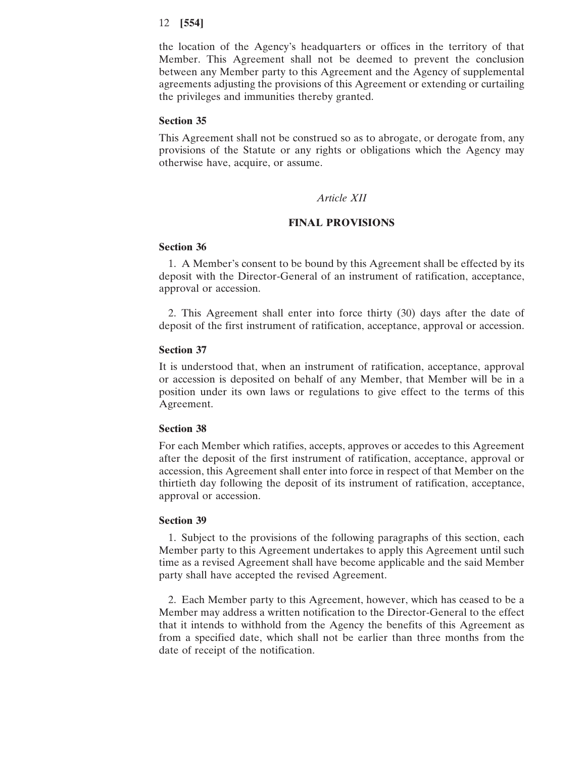the location of the Agency's headquarters or offices in the territory of that Member. This Agreement shall not be deemed to prevent the conclusion between any Member party to this Agreement and the Agency of supplemental agreements adjusting the provisions of this Agreement or extending or curtailing the privileges and immunities thereby granted.

#### **Section 35**

This Agreement shall not be construed so as to abrogate, or derogate from, any provisions of the Statute or any rights or obligations which the Agency may otherwise have, acquire, or assume.

#### *Article XII*

### **FINAL PROVISIONS**

### **Section 36**

1. A Member's consent to be bound by this Agreement shall be effected by its deposit with the Director-General of an instrument of ratification, acceptance, approval or accession.

2. This Agreement shall enter into force thirty (30) days after the date of deposit of the first instrument of ratification, acceptance, approval or accession.

#### **Section 37**

It is understood that, when an instrument of ratification, acceptance, approval or accession is deposited on behalf of any Member, that Member will be in a position under its own laws or regulations to give effect to the terms of this Agreement.

#### **Section 38**

For each Member which ratifies, accepts, approves or accedes to this Agreement after the deposit of the first instrument of ratification, acceptance, approval or accession, this Agreement shall enter into force in respect of that Member on the thirtieth day following the deposit of its instrument of ratification, acceptance, approval or accession.

### **Section 39**

1. Subject to the provisions of the following paragraphs of this section, each Member party to this Agreement undertakes to apply this Agreement until such time as a revised Agreement shall have become applicable and the said Member party shall have accepted the revised Agreement.

2. Each Member party to this Agreement, however, which has ceased to be a Member may address a written notification to the Director-General to the effect that it intends to withhold from the Agency the benefits of this Agreement as from a specified date, which shall not be earlier than three months from the date of receipt of the notification.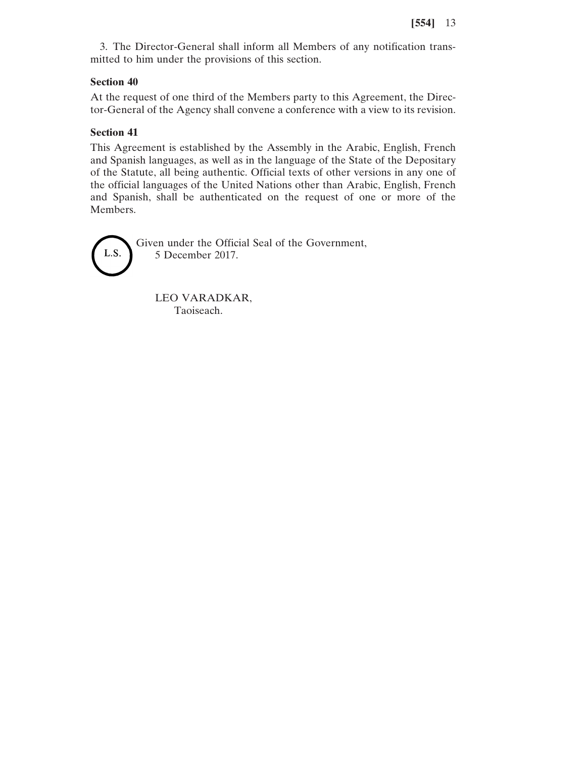3. The Director-General shall inform all Members of any notification transmitted to him under the provisions of this section.

## **Section 40**

At the request of one third of the Members party to this Agreement, the Director-General of the Agency shall convene a conference with a view to its revision.

## **Section 41**

This Agreement is established by the Assembly in the Arabic, English, French and Spanish languages, as well as in the language of the State of the Depositary of the Statute, all being authentic. Official texts of other versions in any one of the official languages of the United Nations other than Arabic, English, French and Spanish, shall be authenticated on the request of one or more of the Members.



Given under the Official Seal of the Government, 5 December 2017.

LEO VARADKAR, Taoiseach.